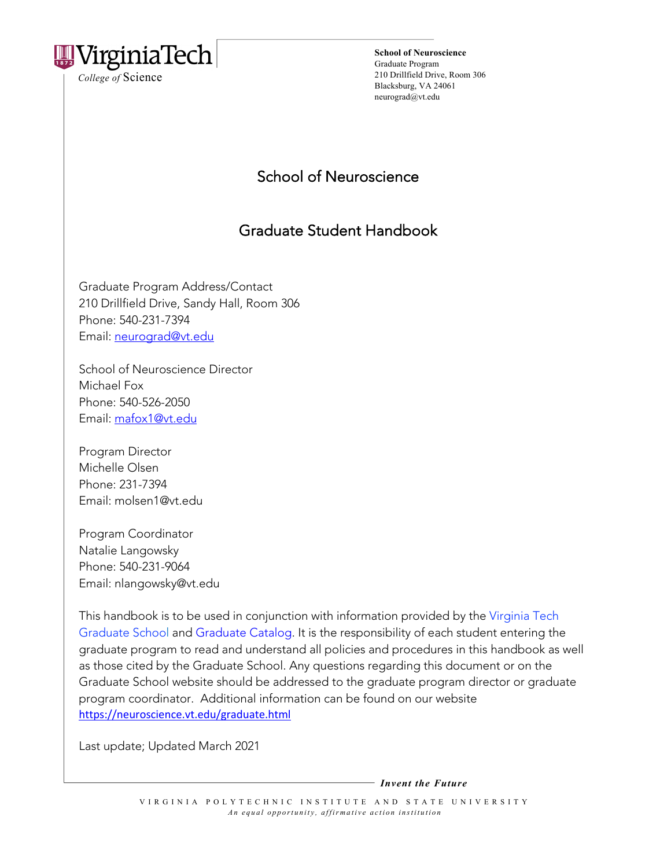

*College of* Science

**School of Neuroscience**  Graduate Program 210 Drillfield Drive, Room 306 Blacksburg, VA 24061 neurograd@vt.edu

# School of Neuroscience

# Graduate Student Handbook

Graduate Program Address/Contact 210 Drillfield Drive, Sandy Hall, Room 306 Phone: 540-231-7394 Email: neurograd@vt.edu

School of Neuroscience Director Michael Fox Phone: 540-526-2050 Email: mafox1@vt.edu

Program Director Michelle Olsen Phone: 231-7394 Email: molsen1@vt.edu

Program Coordinator Natalie Langowsky Phone: 540-231-9064 Email: nlangowsky@vt.edu

This handbook is to be used in conjunction with information provided by the Virginia Tech Graduate School and Graduate Catalog. It is the responsibility of each student entering the graduate program to read and understand all policies and procedures in this handbook as well as those cited by the Graduate School. Any questions regarding this document or on the Graduate School website should be addressed to the graduate program director or graduate program coordinator. Additional information can be found on our website https://neuroscience.vt.edu/graduate.html

Last update; Updated March 2021

*Invent the Future*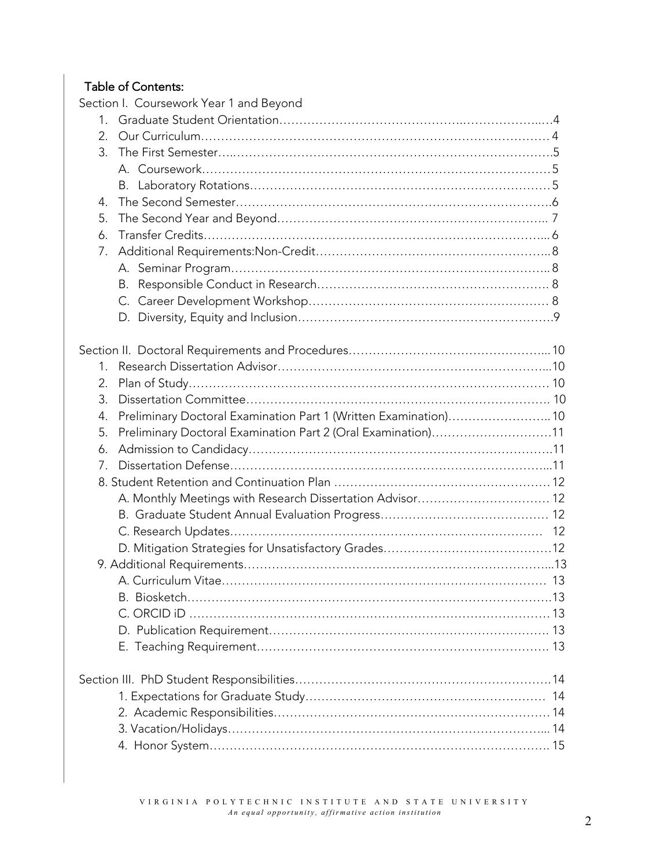# Table of Contents:

| $1_{-}$<br>2.<br>3.                                                    |
|------------------------------------------------------------------------|
|                                                                        |
|                                                                        |
|                                                                        |
|                                                                        |
|                                                                        |
| 4.                                                                     |
| 5.                                                                     |
| 6.                                                                     |
| 7.                                                                     |
|                                                                        |
| В.                                                                     |
|                                                                        |
|                                                                        |
|                                                                        |
|                                                                        |
| $1_{\cdot}$                                                            |
| 2.                                                                     |
| 3.                                                                     |
| Preliminary Doctoral Examination Part 1 (Written Examination) 10<br>4. |
| Preliminary Doctoral Examination Part 2 (Oral Examination)11<br>5.     |
| 6.                                                                     |
| 7.                                                                     |
|                                                                        |
| A. Monthly Meetings with Research Dissertation Advisor 12              |
|                                                                        |
|                                                                        |
|                                                                        |
|                                                                        |
|                                                                        |
|                                                                        |
|                                                                        |
|                                                                        |
|                                                                        |
|                                                                        |
|                                                                        |
|                                                                        |
|                                                                        |
|                                                                        |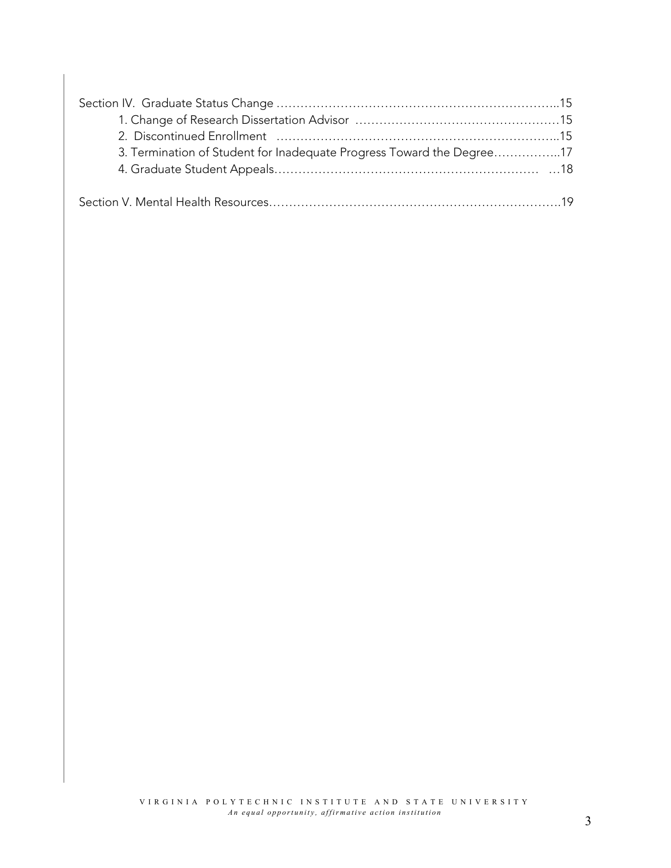| 3. Termination of Student for Inadequate Progress Toward the Degree17 |  |
|-----------------------------------------------------------------------|--|
|                                                                       |  |
|                                                                       |  |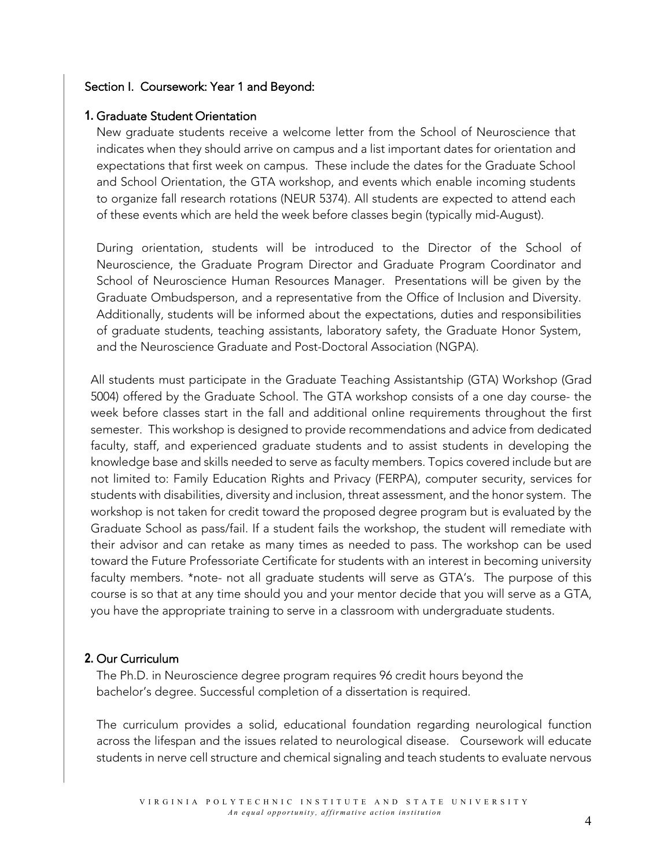#### Section I. Coursework: Year 1 and Beyond:

#### **1.** Graduate Student Orientation

New graduate students receive a welcome letter from the School of Neuroscience that indicates when they should arrive on campus and a list important dates for orientation and expectations that first week on campus. These include the dates for the Graduate School and School Orientation, the GTA workshop, and events which enable incoming students to organize fall research rotations (NEUR 5374). All students are expected to attend each of these events which are held the week before classes begin (typically mid-August).

During orientation, students will be introduced to the Director of the School of Neuroscience, the Graduate Program Director and Graduate Program Coordinator and School of Neuroscience Human Resources Manager. Presentations will be given by the Graduate Ombudsperson, and a representative from the Office of Inclusion and Diversity. Additionally, students will be informed about the expectations, duties and responsibilities of graduate students, teaching assistants, laboratory safety, the Graduate Honor System, and the Neuroscience Graduate and Post-Doctoral Association (NGPA).

All students must participate in the Graduate Teaching Assistantship (GTA) Workshop (Grad 5004) offered by the Graduate School. The GTA workshop consists of a one day course- the week before classes start in the fall and additional online requirements throughout the first semester. This workshop is designed to provide recommendations and advice from dedicated faculty, staff, and experienced graduate students and to assist students in developing the knowledge base and skills needed to serve as faculty members. Topics covered include but are not limited to: Family Education Rights and Privacy (FERPA), computer security, services for students with disabilities, diversity and inclusion, threat assessment, and the honor system. The workshop is not taken for credit toward the proposed degree program but is evaluated by the Graduate School as pass/fail. If a student fails the workshop, the student will remediate with their advisor and can retake as many times as needed to pass. The workshop can be used toward the Future Professoriate Certificate for students with an interest in becoming university faculty members. \*note- not all graduate students will serve as GTA's. The purpose of this course is so that at any time should you and your mentor decide that you will serve as a GTA, you have the appropriate training to serve in a classroom with undergraduate students.

## **2.** Our Curriculum

The Ph.D. in Neuroscience degree program requires 96 credit hours beyond the bachelor's degree. Successful completion of a dissertation is required.

The curriculum provides a solid, educational foundation regarding neurological function across the lifespan and the issues related to neurological disease. Coursework will educate students in nerve cell structure and chemical signaling and teach students to evaluate nervous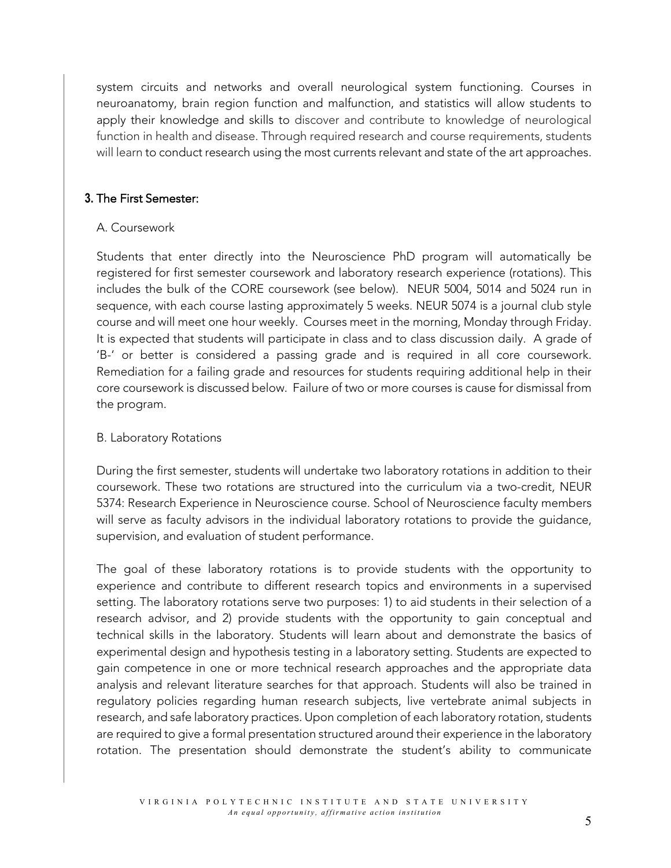system circuits and networks and overall neurological system functioning. Courses in neuroanatomy, brain region function and malfunction, and statistics will allow students to apply their knowledge and skills to discover and contribute to knowledge of neurological function in health and disease. Through required research and course requirements, students will learn to conduct research using the most currents relevant and state of the art approaches.

# **3.** The First Semester:

#### A. Coursework

Students that enter directly into the Neuroscience PhD program will automatically be registered for first semester coursework and laboratory research experience (rotations). This includes the bulk of the CORE coursework (see below). NEUR 5004, 5014 and 5024 run in sequence, with each course lasting approximately 5 weeks. NEUR 5074 is a journal club style course and will meet one hour weekly. Courses meet in the morning, Monday through Friday. It is expected that students will participate in class and to class discussion daily. A grade of 'B-' or better is considered a passing grade and is required in all core coursework. Remediation for a failing grade and resources for students requiring additional help in their core coursework is discussed below. Failure of two or more courses is cause for dismissal from the program.

## B. Laboratory Rotations

During the first semester, students will undertake two laboratory rotations in addition to their coursework. These two rotations are structured into the curriculum via a two-credit, NEUR 5374: Research Experience in Neuroscience course. School of Neuroscience faculty members will serve as faculty advisors in the individual laboratory rotations to provide the guidance, supervision, and evaluation of student performance.

The goal of these laboratory rotations is to provide students with the opportunity to experience and contribute to different research topics and environments in a supervised setting. The laboratory rotations serve two purposes: 1) to aid students in their selection of a research advisor, and 2) provide students with the opportunity to gain conceptual and technical skills in the laboratory. Students will learn about and demonstrate the basics of experimental design and hypothesis testing in a laboratory setting. Students are expected to gain competence in one or more technical research approaches and the appropriate data analysis and relevant literature searches for that approach. Students will also be trained in regulatory policies regarding human research subjects, live vertebrate animal subjects in research, and safe laboratory practices. Upon completion of each laboratory rotation, students are required to give a formal presentation structured around their experience in the laboratory rotation. The presentation should demonstrate the student's ability to communicate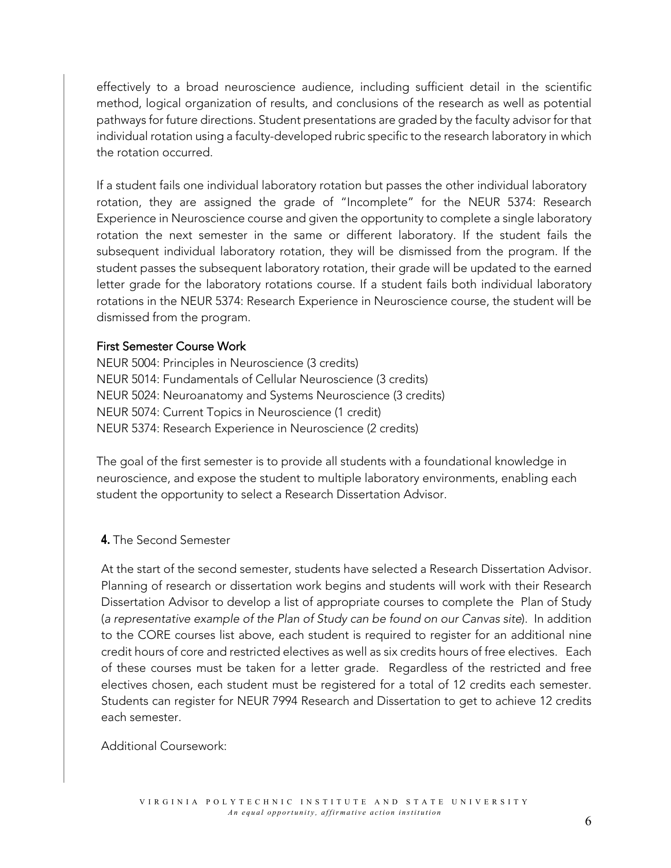effectively to a broad neuroscience audience, including sufficient detail in the scientific method, logical organization of results, and conclusions of the research as well as potential pathways for future directions. Student presentations are graded by the faculty advisor for that individual rotation using a faculty-developed rubric specific to the research laboratory in which the rotation occurred.

If a student fails one individual laboratory rotation but passes the other individual laboratory rotation, they are assigned the grade of "Incomplete" for the NEUR 5374: Research Experience in Neuroscience course and given the opportunity to complete a single laboratory rotation the next semester in the same or different laboratory. If the student fails the subsequent individual laboratory rotation, they will be dismissed from the program. If the student passes the subsequent laboratory rotation, their grade will be updated to the earned letter grade for the laboratory rotations course. If a student fails both individual laboratory rotations in the NEUR 5374: Research Experience in Neuroscience course, the student will be dismissed from the program.

#### First Semester Course Work

NEUR 5004: Principles in Neuroscience (3 credits) NEUR 5014: Fundamentals of Cellular Neuroscience (3 credits) NEUR 5024: Neuroanatomy and Systems Neuroscience (3 credits) NEUR 5074: Current Topics in Neuroscience (1 credit) NEUR 5374: Research Experience in Neuroscience (2 credits)

The goal of the first semester is to provide all students with a foundational knowledge in neuroscience, and expose the student to multiple laboratory environments, enabling each student the opportunity to select a Research Dissertation Advisor.

## **4.** The Second Semester

At the start of the second semester, students have selected a Research Dissertation Advisor. Planning of research or dissertation work begins and students will work with their Research Dissertation Advisor to develop a list of appropriate courses to complete the Plan of Study (*a representative example of the Plan of Study can be found on our Canvas site*). In addition to the CORE courses list above, each student is required to register for an additional nine credit hours of core and restricted electives as well as six credits hours of free electives. Each of these courses must be taken for a letter grade. Regardless of the restricted and free electives chosen, each student must be registered for a total of 12 credits each semester. Students can register for NEUR 7994 Research and Dissertation to get to achieve 12 credits each semester.

Additional Coursework: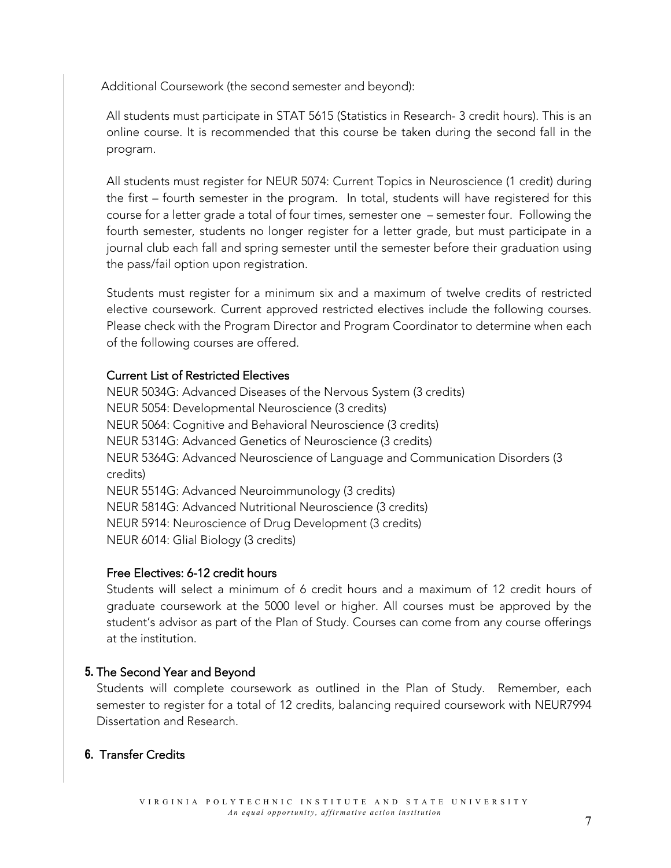Additional Coursework (the second semester and beyond):

All students must participate in STAT 5615 (Statistics in Research- 3 credit hours). This is an online course. It is recommended that this course be taken during the second fall in the program.

All students must register for NEUR 5074: Current Topics in Neuroscience (1 credit) during the first – fourth semester in the program. In total, students will have registered for this course for a letter grade a total of four times, semester one – semester four. Following the fourth semester, students no longer register for a letter grade, but must participate in a journal club each fall and spring semester until the semester before their graduation using the pass/fail option upon registration.

Students must register for a minimum six and a maximum of twelve credits of restricted elective coursework. Current approved restricted electives include the following courses. Please check with the Program Director and Program Coordinator to determine when each of the following courses are offered.

#### Current List of Restricted Electives

NEUR 5034G: Advanced Diseases of the Nervous System (3 credits) NEUR 5054: Developmental Neuroscience (3 credits) NEUR 5064: Cognitive and Behavioral Neuroscience (3 credits) NEUR 5314G: Advanced Genetics of Neuroscience (3 credits) NEUR 5364G: Advanced Neuroscience of Language and Communication Disorders (3 credits) NEUR 5514G: Advanced Neuroimmunology (3 credits) NEUR 5814G: Advanced Nutritional Neuroscience (3 credits) NEUR 5914: Neuroscience of Drug Development (3 credits) NEUR 6014: Glial Biology (3 credits)

## Free Electives: 6-12 credit hours

Students will select a minimum of 6 credit hours and a maximum of 12 credit hours of graduate coursework at the 5000 level or higher. All courses must be approved by the student's advisor as part of the Plan of Study. Courses can come from any course offerings at the institution.

## **5.** The Second Year and Beyond

Students will complete coursework as outlined in the Plan of Study. Remember, each semester to register for a total of 12 credits, balancing required coursework with NEUR7994 Dissertation and Research.

## **6.** Transfer Credits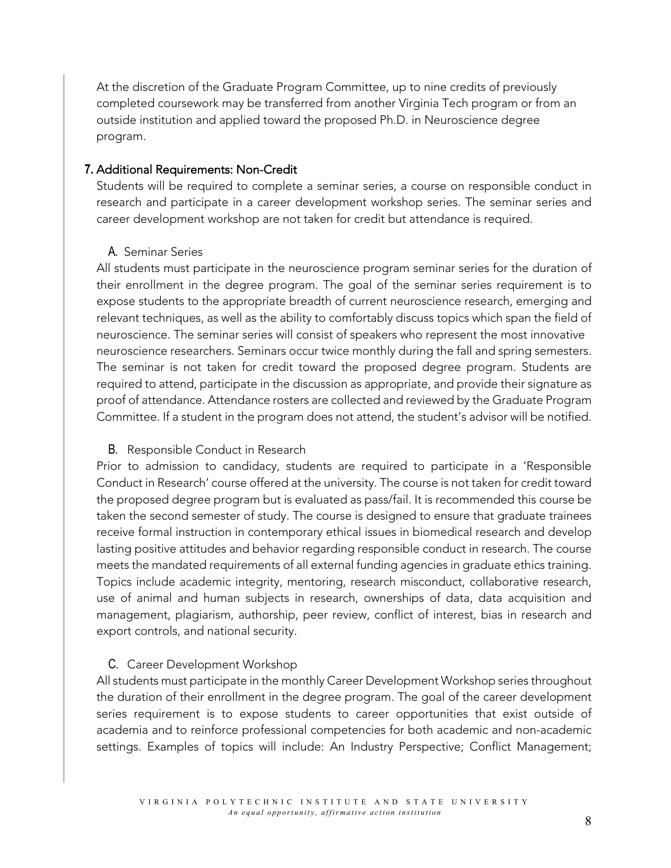At the discretion of the Graduate Program Committee, up to nine credits of previously completed coursework may be transferred from another Virginia Tech program or from an outside institution and applied toward the proposed Ph.D. in Neuroscience degree program.

#### **7.** Additional Requirements: Non-Credit

Students will be required to complete a seminar series, a course on responsible conduct in research and participate in a career development workshop series. The seminar series and career development workshop are not taken for credit but attendance is required.

#### A. Seminar Series

All students must participate in the neuroscience program seminar series for the duration of their enrollment in the degree program. The goal of the seminar series requirement is to expose students to the appropriate breadth of current neuroscience research, emerging and relevant techniques, as well as the ability to comfortably discuss topics which span the field of neuroscience. The seminar series will consist of speakers who represent the most innovative neuroscience researchers. Seminars occur twice monthly during the fall and spring semesters. The seminar is not taken for credit toward the proposed degree program. Students are required to attend, participate in the discussion as appropriate, and provide their signature as proof of attendance. Attendance rosters are collected and reviewed by the Graduate Program Committee. If a student in the program does not attend, the student's advisor will be notified.

## B.Responsible Conduct in Research

Prior to admission to candidacy, students are required to participate in a 'Responsible Conduct in Research' course offered at the university. The course is not taken for credit toward the proposed degree program but is evaluated as pass/fail. It is recommended this course be taken the second semester of study. The course is designed to ensure that graduate trainees receive formal instruction in contemporary ethical issues in biomedical research and develop lasting positive attitudes and behavior regarding responsible conduct in research. The course meets the mandated requirements of all external funding agencies in graduate ethics training. Topics include academic integrity, mentoring, research misconduct, collaborative research, use of animal and human subjects in research, ownerships of data, data acquisition and management, plagiarism, authorship, peer review, conflict of interest, bias in research and export controls, and national security.

## C. Career Development Workshop

All students must participate in the monthly Career Development Workshop series throughout the duration of their enrollment in the degree program. The goal of the career development series requirement is to expose students to career opportunities that exist outside of academia and to reinforce professional competencies for both academic and non-academic settings. Examples of topics will include: An Industry Perspective; Conflict Management;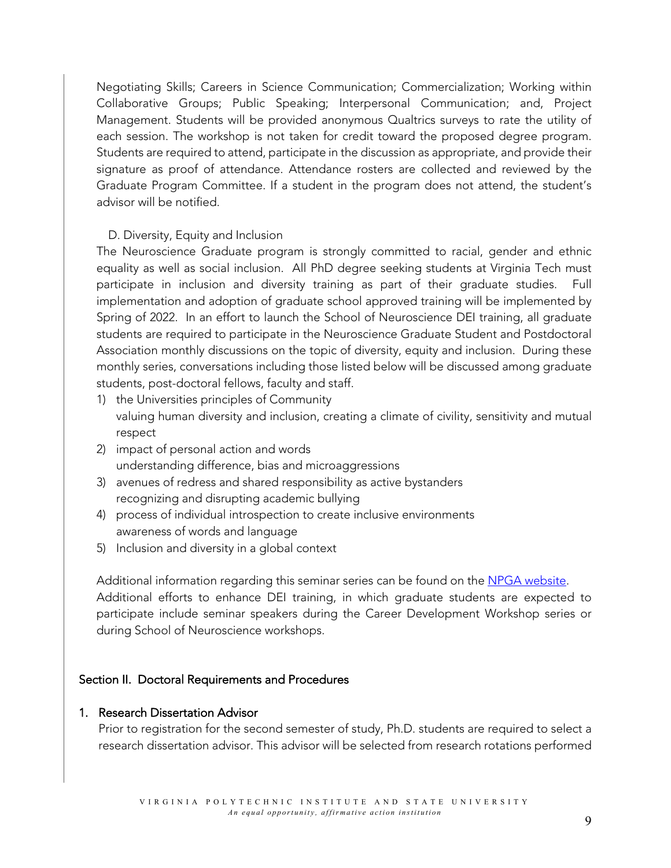Negotiating Skills; Careers in Science Communication; Commercialization; Working within Collaborative Groups; Public Speaking; Interpersonal Communication; and, Project Management. Students will be provided anonymous Qualtrics surveys to rate the utility of each session. The workshop is not taken for credit toward the proposed degree program. Students are required to attend, participate in the discussion as appropriate, and provide their signature as proof of attendance. Attendance rosters are collected and reviewed by the Graduate Program Committee. If a student in the program does not attend, the student's advisor will be notified.

#### D. Diversity, Equity and Inclusion

The Neuroscience Graduate program is strongly committed to racial, gender and ethnic equality as well as social inclusion. All PhD degree seeking students at Virginia Tech must participate in inclusion and diversity training as part of their graduate studies. Full implementation and adoption of graduate school approved training will be implemented by Spring of 2022. In an effort to launch the School of Neuroscience DEI training, all graduate students are required to participate in the Neuroscience Graduate Student and Postdoctoral Association monthly discussions on the topic of diversity, equity and inclusion. During these monthly series, conversations including those listed below will be discussed among graduate students, post-doctoral fellows, faculty and staff.

- 1) the Universities principles of Community valuing human diversity and inclusion, creating a climate of civility, sensitivity and mutual respect
- 2) impact of personal action and words understanding difference, bias and microaggressions
- 3) avenues of redress and shared responsibility as active bystanders recognizing and disrupting academic bullying
- 4) process of individual introspection to create inclusive environments awareness of words and language
- 5) Inclusion and diversity in a global context

Additional information regarding this seminar series can be found on the NPGA website. Additional efforts to enhance DEI training, in which graduate students are expected to participate include seminar speakers during the Career Development Workshop series or during School of Neuroscience workshops.

## Section II. Doctoral Requirements and Procedures

#### 1. Research Dissertation Advisor

Prior to registration for the second semester of study, Ph.D. students are required to select a research dissertation advisor. This advisor will be selected from research rotations performed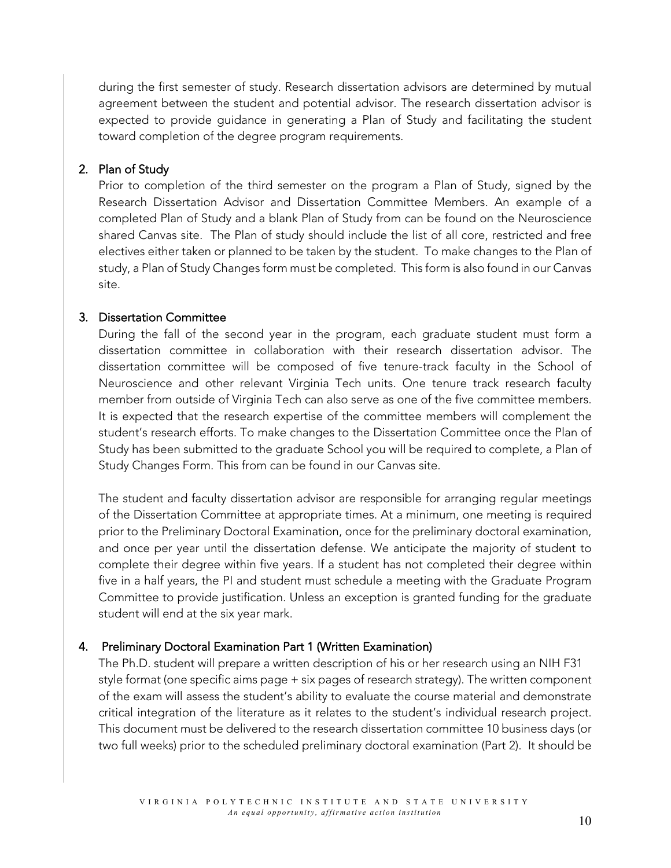during the first semester of study. Research dissertation advisors are determined by mutual agreement between the student and potential advisor. The research dissertation advisor is expected to provide guidance in generating a Plan of Study and facilitating the student toward completion of the degree program requirements.

#### 2. Plan of Study

Prior to completion of the third semester on the program a Plan of Study, signed by the Research Dissertation Advisor and Dissertation Committee Members. An example of a completed Plan of Study and a blank Plan of Study from can be found on the Neuroscience shared Canvas site. The Plan of study should include the list of all core, restricted and free electives either taken or planned to be taken by the student. To make changes to the Plan of study, a Plan of Study Changes form must be completed. This form is also found in our Canvas site.

#### 3. Dissertation Committee

During the fall of the second year in the program, each graduate student must form a dissertation committee in collaboration with their research dissertation advisor. The dissertation committee will be composed of five tenure-track faculty in the School of Neuroscience and other relevant Virginia Tech units. One tenure track research faculty member from outside of Virginia Tech can also serve as one of the five committee members. It is expected that the research expertise of the committee members will complement the student's research efforts. To make changes to the Dissertation Committee once the Plan of Study has been submitted to the graduate School you will be required to complete, a Plan of Study Changes Form. This from can be found in our Canvas site.

The student and faculty dissertation advisor are responsible for arranging regular meetings of the Dissertation Committee at appropriate times. At a minimum, one meeting is required prior to the Preliminary Doctoral Examination, once for the preliminary doctoral examination, and once per year until the dissertation defense. We anticipate the majority of student to complete their degree within five years. If a student has not completed their degree within five in a half years, the PI and student must schedule a meeting with the Graduate Program Committee to provide justification. Unless an exception is granted funding for the graduate student will end at the six year mark.

## 4. Preliminary Doctoral Examination Part 1 (Written Examination)

The Ph.D. student will prepare a written description of his or her research using an NIH F31 style format (one specific aims page + six pages of research strategy). The written component of the exam will assess the student's ability to evaluate the course material and demonstrate critical integration of the literature as it relates to the student's individual research project. This document must be delivered to the research dissertation committee 10 business days (or two full weeks) prior to the scheduled preliminary doctoral examination (Part 2). It should be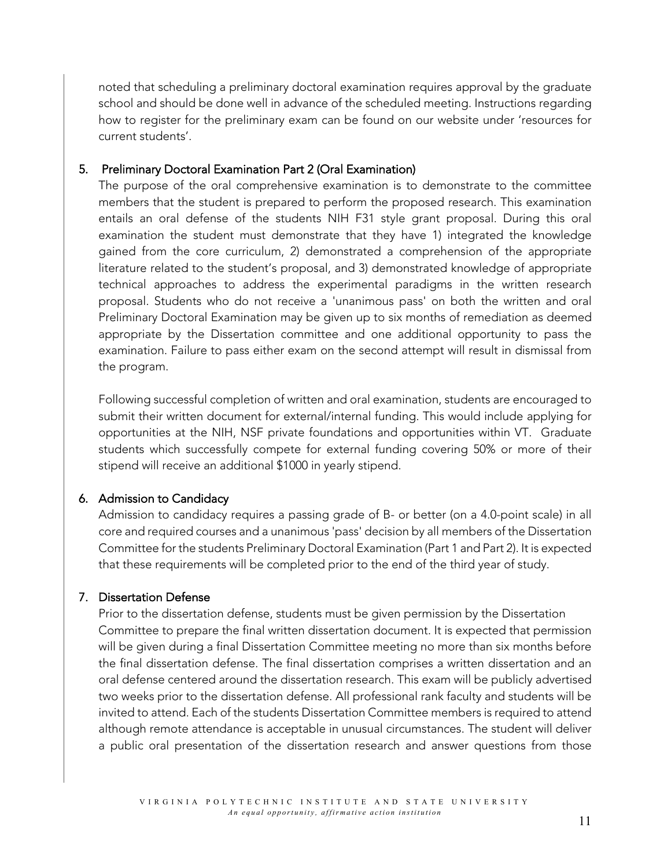noted that scheduling a preliminary doctoral examination requires approval by the graduate school and should be done well in advance of the scheduled meeting. Instructions regarding how to register for the preliminary exam can be found on our website under 'resources for current students'.

#### 5. Preliminary Doctoral Examination Part 2 (Oral Examination)

The purpose of the oral comprehensive examination is to demonstrate to the committee members that the student is prepared to perform the proposed research. This examination entails an oral defense of the students NIH F31 style grant proposal. During this oral examination the student must demonstrate that they have 1) integrated the knowledge gained from the core curriculum, 2) demonstrated a comprehension of the appropriate literature related to the student's proposal, and 3) demonstrated knowledge of appropriate technical approaches to address the experimental paradigms in the written research proposal. Students who do not receive a 'unanimous pass' on both the written and oral Preliminary Doctoral Examination may be given up to six months of remediation as deemed appropriate by the Dissertation committee and one additional opportunity to pass the examination. Failure to pass either exam on the second attempt will result in dismissal from the program.

Following successful completion of written and oral examination, students are encouraged to submit their written document for external/internal funding. This would include applying for opportunities at the NIH, NSF private foundations and opportunities within VT. Graduate students which successfully compete for external funding covering 50% or more of their stipend will receive an additional \$1000 in yearly stipend.

## 6. Admission to Candidacy

Admission to candidacy requires a passing grade of B- or better (on a 4.0-point scale) in all core and required courses and a unanimous 'pass' decision by all members of the Dissertation Committee for the students Preliminary Doctoral Examination (Part 1 and Part 2). It is expected that these requirements will be completed prior to the end of the third year of study.

## 7. Dissertation Defense

Prior to the dissertation defense, students must be given permission by the Dissertation Committee to prepare the final written dissertation document. It is expected that permission will be given during a final Dissertation Committee meeting no more than six months before the final dissertation defense. The final dissertation comprises a written dissertation and an oral defense centered around the dissertation research. This exam will be publicly advertised two weeks prior to the dissertation defense. All professional rank faculty and students will be invited to attend. Each of the students Dissertation Committee members is required to attend although remote attendance is acceptable in unusual circumstances. The student will deliver a public oral presentation of the dissertation research and answer questions from those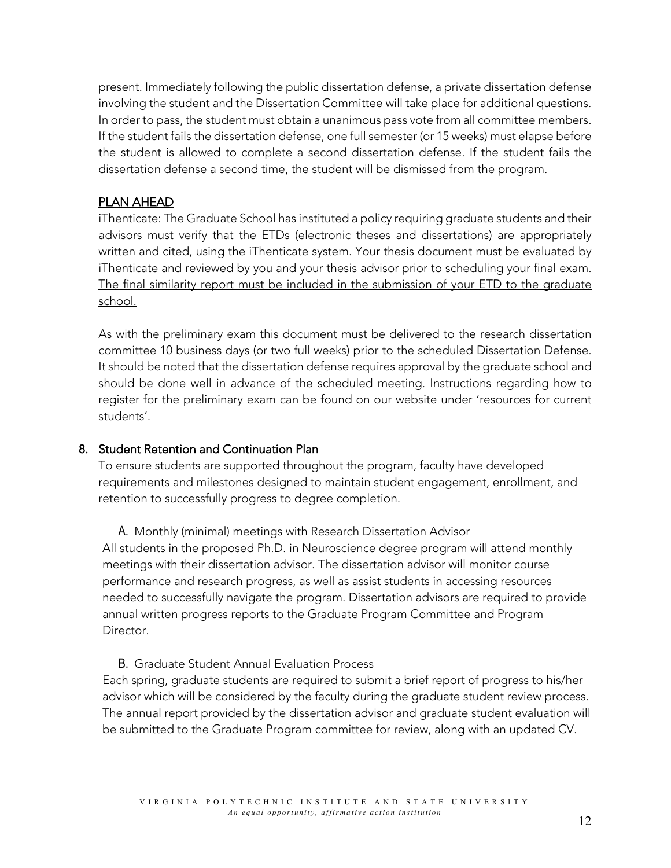present. Immediately following the public dissertation defense, a private dissertation defense involving the student and the Dissertation Committee will take place for additional questions. In order to pass, the student must obtain a unanimous pass vote from all committee members. If the student fails the dissertation defense, one full semester (or 15 weeks) must elapse before the student is allowed to complete a second dissertation defense. If the student fails the dissertation defense a second time, the student will be dismissed from the program.

# PLAN AHEAD

iThenticate: The Graduate School has instituted a policy requiring graduate students and their advisors must verify that the ETDs (electronic theses and dissertations) are appropriately written and cited, using the iThenticate system. Your thesis document must be evaluated by iThenticate and reviewed by you and your thesis advisor prior to scheduling your final exam. The final similarity report must be included in the submission of your ETD to the graduate school.

As with the preliminary exam this document must be delivered to the research dissertation committee 10 business days (or two full weeks) prior to the scheduled Dissertation Defense. It should be noted that the dissertation defense requires approval by the graduate school and should be done well in advance of the scheduled meeting. Instructions regarding how to register for the preliminary exam can be found on our website under 'resources for current students'.

## 8. Student Retention and Continuation Plan

To ensure students are supported throughout the program, faculty have developed requirements and milestones designed to maintain student engagement, enrollment, and retention to successfully progress to degree completion.

A. Monthly (minimal) meetings with Research Dissertation Advisor All students in the proposed Ph.D. in Neuroscience degree program will attend monthly meetings with their dissertation advisor. The dissertation advisor will monitor course performance and research progress, as well as assist students in accessing resources needed to successfully navigate the program. Dissertation advisors are required to provide annual written progress reports to the Graduate Program Committee and Program Director.

## B. Graduate Student Annual Evaluation Process

Each spring, graduate students are required to submit a brief report of progress to his/her advisor which will be considered by the faculty during the graduate student review process. The annual report provided by the dissertation advisor and graduate student evaluation will be submitted to the Graduate Program committee for review, along with an updated CV.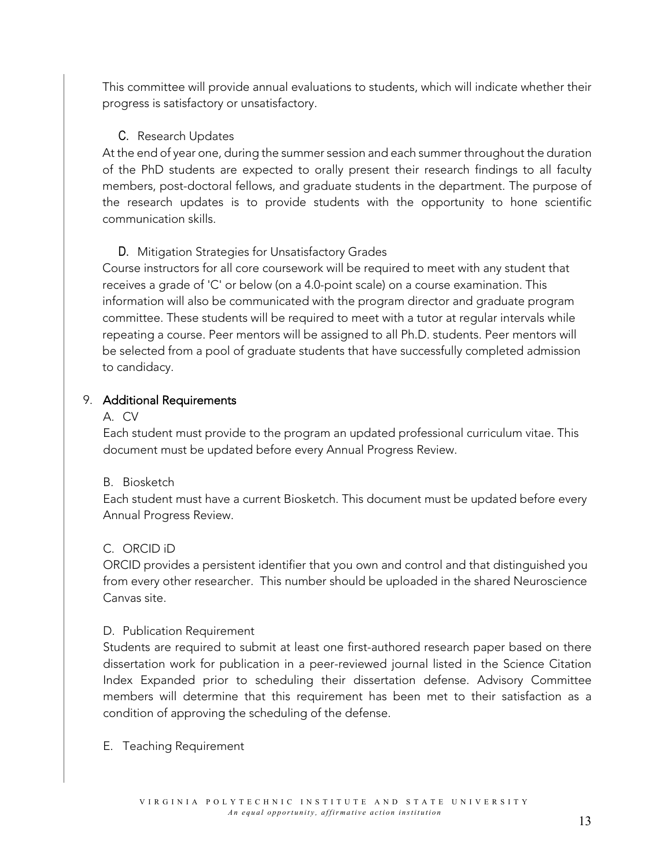This committee will provide annual evaluations to students, which will indicate whether their progress is satisfactory or unsatisfactory.

# C. Research Updates

At the end of year one, during the summer session and each summer throughout the duration of the PhD students are expected to orally present their research findings to all faculty members, post-doctoral fellows, and graduate students in the department. The purpose of the research updates is to provide students with the opportunity to hone scientific communication skills.

# D. Mitigation Strategies for Unsatisfactory Grades

Course instructors for all core coursework will be required to meet with any student that receives a grade of 'C' or below (on a 4.0-point scale) on a course examination. This information will also be communicated with the program director and graduate program committee. These students will be required to meet with a tutor at regular intervals while repeating a course. Peer mentors will be assigned to all Ph.D. students. Peer mentors will be selected from a pool of graduate students that have successfully completed admission to candidacy.

# 9. Additional Requirements

## A. CV

Each student must provide to the program an updated professional curriculum vitae. This document must be updated before every Annual Progress Review.

# B. Biosketch

Each student must have a current Biosketch. This document must be updated before every Annual Progress Review.

# C. ORCID iD

ORCID provides a persistent identifier that you own and control and that distinguished you from every other researcher. This number should be uploaded in the shared Neuroscience Canvas site.

# D. Publication Requirement

Students are required to submit at least one first-authored research paper based on there dissertation work for publication in a peer-reviewed journal listed in the Science Citation Index Expanded prior to scheduling their dissertation defense. Advisory Committee members will determine that this requirement has been met to their satisfaction as a condition of approving the scheduling of the defense.

## E. Teaching Requirement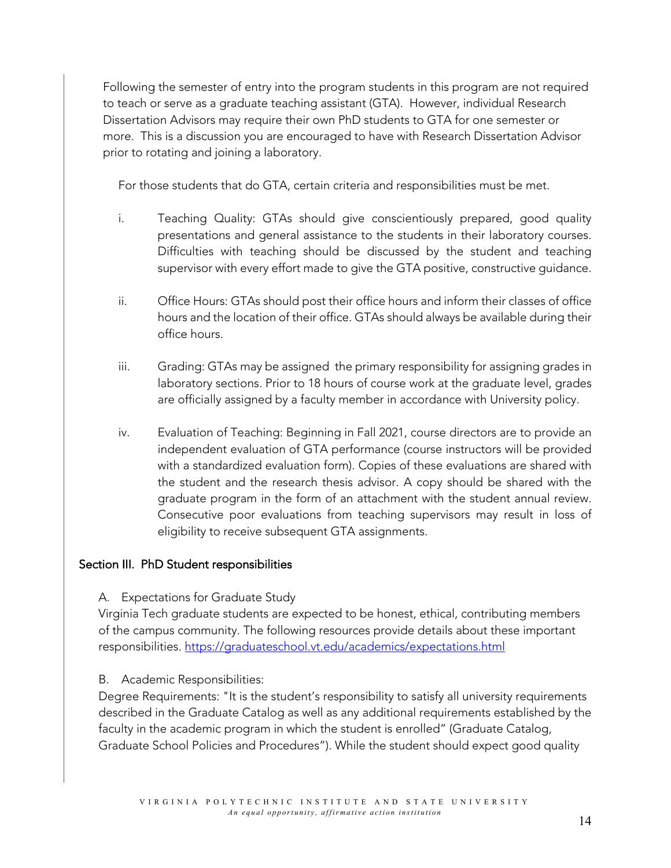Following the semester of entry into the program students in this program are not required to teach or serve as a graduate teaching assistant (GTA). However, individual Research Dissertation Advisors may require their own PhD students to GTA for one semester or more. This is a discussion you are encouraged to have with Research Dissertation Advisor prior to rotating and joining a laboratory.

For those students that do GTA, certain criteria and responsibilities must be met.

- i. Teaching Quality: GTAs should give conscientiously prepared, good quality presentations and general assistance to the students in their laboratory courses. Difficulties with teaching should be discussed by the student and teaching supervisor with every effort made to give the GTA positive, constructive guidance.
- ii. Office Hours: GTAs should post their office hours and inform their classes of office hours and the location of their office. GTAs should always be available during their office hours.
- iii. Grading: GTAs may be assigned the primary responsibility for assigning grades in laboratory sections. Prior to 18 hours of course work at the graduate level, grades are officially assigned by a faculty member in accordance with University policy.
- iv. Evaluation of Teaching: Beginning in Fall 2021, course directors are to provide an independent evaluation of GTA performance (course instructors will be provided with a standardized evaluation form). Copies of these evaluations are shared with the student and the research thesis advisor. A copy should be shared with the graduate program in the form of an attachment with the student annual review. Consecutive poor evaluations from teaching supervisors may result in loss of eligibility to receive subsequent GTA assignments.

## Section III. PhD Student responsibilities

A. Expectations for Graduate Study

Virginia Tech graduate students are expected to be honest, ethical, contributing members of the campus community. The following resources provide details about these important responsibilities. https://graduateschool.vt.edu/academics/expectations.html

B. Academic Responsibilities:

Degree Requirements: "It is the student's responsibility to satisfy all university requirements described in the Graduate Catalog as well as any additional requirements established by the faculty in the academic program in which the student is enrolled" (Graduate Catalog, Graduate School Policies and Procedures"). While the student should expect good quality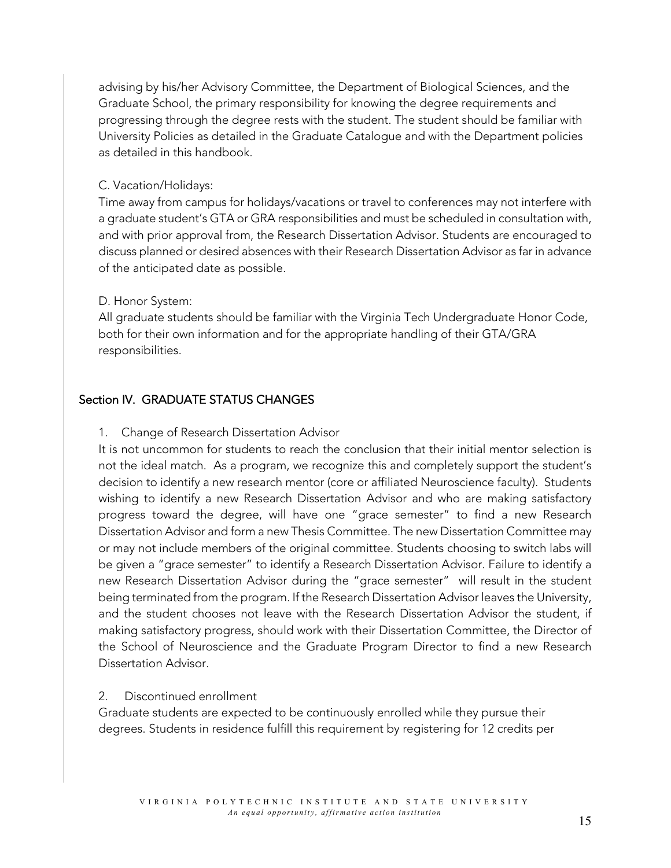advising by his/her Advisory Committee, the Department of Biological Sciences, and the Graduate School, the primary responsibility for knowing the degree requirements and progressing through the degree rests with the student. The student should be familiar with University Policies as detailed in the Graduate Catalogue and with the Department policies as detailed in this handbook.

# C. Vacation/Holidays:

Time away from campus for holidays/vacations or travel to conferences may not interfere with a graduate student's GTA or GRA responsibilities and must be scheduled in consultation with, and with prior approval from, the Research Dissertation Advisor. Students are encouraged to discuss planned or desired absences with their Research Dissertation Advisor as far in advance of the anticipated date as possible.

# D. Honor System:

All graduate students should be familiar with the Virginia Tech Undergraduate Honor Code, both for their own information and for the appropriate handling of their GTA/GRA responsibilities.

# Section IV. GRADUATE STATUS CHANGES

## 1. Change of Research Dissertation Advisor

It is not uncommon for students to reach the conclusion that their initial mentor selection is not the ideal match. As a program, we recognize this and completely support the student's decision to identify a new research mentor (core or affiliated Neuroscience faculty). Students wishing to identify a new Research Dissertation Advisor and who are making satisfactory progress toward the degree, will have one "grace semester" to find a new Research Dissertation Advisor and form a new Thesis Committee. The new Dissertation Committee may or may not include members of the original committee. Students choosing to switch labs will be given a "grace semester" to identify a Research Dissertation Advisor. Failure to identify a new Research Dissertation Advisor during the "grace semester" will result in the student being terminated from the program. If the Research Dissertation Advisor leaves the University, and the student chooses not leave with the Research Dissertation Advisor the student, if making satisfactory progress, should work with their Dissertation Committee, the Director of the School of Neuroscience and the Graduate Program Director to find a new Research Dissertation Advisor.

## 2. Discontinued enrollment

Graduate students are expected to be continuously enrolled while they pursue their degrees. Students in residence fulfill this requirement by registering for 12 credits per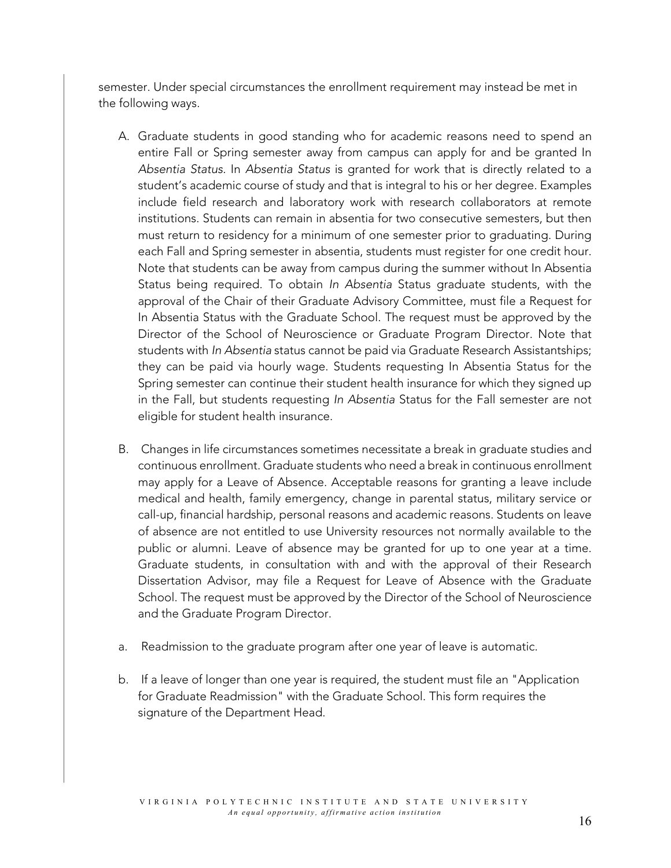semester. Under special circumstances the enrollment requirement may instead be met in the following ways.

- A. Graduate students in good standing who for academic reasons need to spend an entire Fall or Spring semester away from campus can apply for and be granted In *Absentia Status*. In *Absentia Status* is granted for work that is directly related to a student's academic course of study and that is integral to his or her degree. Examples include field research and laboratory work with research collaborators at remote institutions. Students can remain in absentia for two consecutive semesters, but then must return to residency for a minimum of one semester prior to graduating. During each Fall and Spring semester in absentia, students must register for one credit hour. Note that students can be away from campus during the summer without In Absentia Status being required. To obtain *In Absentia* Status graduate students, with the approval of the Chair of their Graduate Advisory Committee, must file a Request for In Absentia Status with the Graduate School. The request must be approved by the Director of the School of Neuroscience or Graduate Program Director. Note that students with *In Absentia* status cannot be paid via Graduate Research Assistantships; they can be paid via hourly wage. Students requesting In Absentia Status for the Spring semester can continue their student health insurance for which they signed up in the Fall, but students requesting *In Absentia* Status for the Fall semester are not eligible for student health insurance.
- B. Changes in life circumstances sometimes necessitate a break in graduate studies and continuous enrollment. Graduate students who need a break in continuous enrollment may apply for a Leave of Absence. Acceptable reasons for granting a leave include medical and health, family emergency, change in parental status, military service or call-up, financial hardship, personal reasons and academic reasons. Students on leave of absence are not entitled to use University resources not normally available to the public or alumni. Leave of absence may be granted for up to one year at a time. Graduate students, in consultation with and with the approval of their Research Dissertation Advisor, may file a Request for Leave of Absence with the Graduate School. The request must be approved by the Director of the School of Neuroscience and the Graduate Program Director.
- a. Readmission to the graduate program after one year of leave is automatic.
- b. If a leave of longer than one year is required, the student must file an "Application for Graduate Readmission" with the Graduate School. This form requires the signature of the Department Head.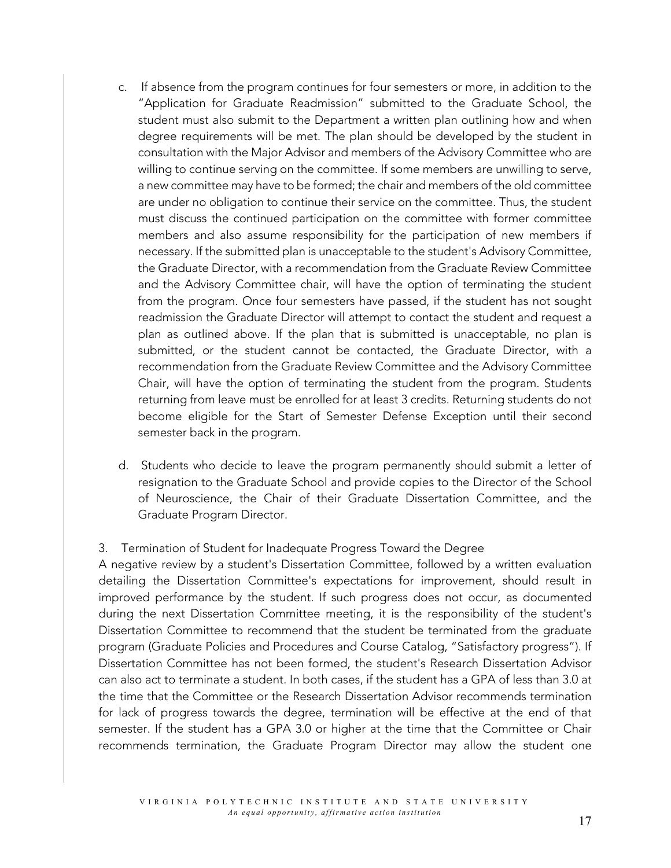- c. If absence from the program continues for four semesters or more, in addition to the "Application for Graduate Readmission" submitted to the Graduate School, the student must also submit to the Department a written plan outlining how and when degree requirements will be met. The plan should be developed by the student in consultation with the Major Advisor and members of the Advisory Committee who are willing to continue serving on the committee. If some members are unwilling to serve, a new committee may have to be formed; the chair and members of the old committee are under no obligation to continue their service on the committee. Thus, the student must discuss the continued participation on the committee with former committee members and also assume responsibility for the participation of new members if necessary. If the submitted plan is unacceptable to the student's Advisory Committee, the Graduate Director, with a recommendation from the Graduate Review Committee and the Advisory Committee chair, will have the option of terminating the student from the program. Once four semesters have passed, if the student has not sought readmission the Graduate Director will attempt to contact the student and request a plan as outlined above. If the plan that is submitted is unacceptable, no plan is submitted, or the student cannot be contacted, the Graduate Director, with a recommendation from the Graduate Review Committee and the Advisory Committee Chair, will have the option of terminating the student from the program. Students returning from leave must be enrolled for at least 3 credits. Returning students do not become eligible for the Start of Semester Defense Exception until their second semester back in the program.
- d. Students who decide to leave the program permanently should submit a letter of resignation to the Graduate School and provide copies to the Director of the School of Neuroscience, the Chair of their Graduate Dissertation Committee, and the Graduate Program Director.

#### 3. Termination of Student for Inadequate Progress Toward the Degree

A negative review by a student's Dissertation Committee, followed by a written evaluation detailing the Dissertation Committee's expectations for improvement, should result in improved performance by the student. If such progress does not occur, as documented during the next Dissertation Committee meeting, it is the responsibility of the student's Dissertation Committee to recommend that the student be terminated from the graduate program (Graduate Policies and Procedures and Course Catalog, "Satisfactory progress"). If Dissertation Committee has not been formed, the student's Research Dissertation Advisor can also act to terminate a student. In both cases, if the student has a GPA of less than 3.0 at the time that the Committee or the Research Dissertation Advisor recommends termination for lack of progress towards the degree, termination will be effective at the end of that semester. If the student has a GPA 3.0 or higher at the time that the Committee or Chair recommends termination, the Graduate Program Director may allow the student one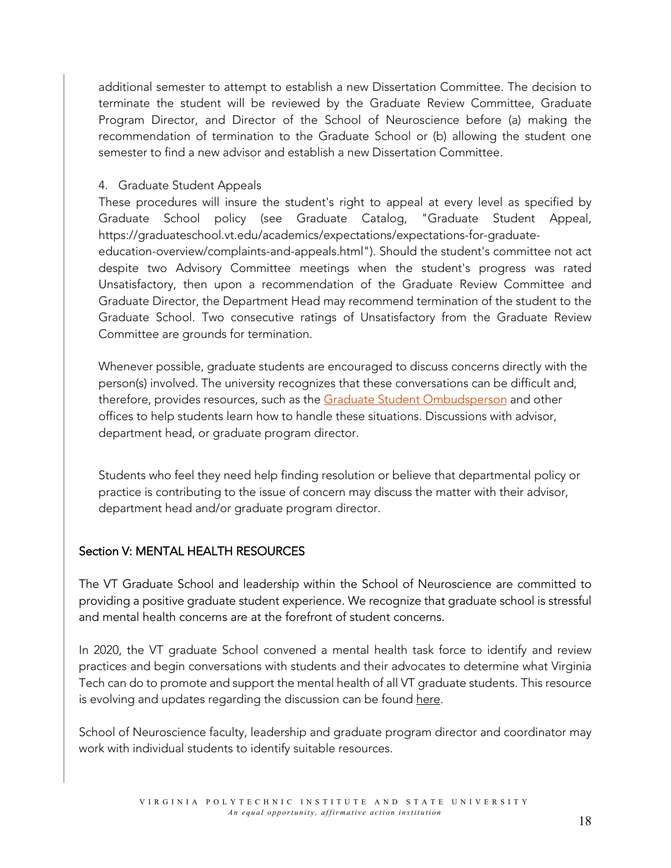additional semester to attempt to establish a new Dissertation Committee. The decision to terminate the student will be reviewed by the Graduate Review Committee, Graduate Program Director, and Director of the School of Neuroscience before (a) making the recommendation of termination to the Graduate School or (b) allowing the student one semester to find a new advisor and establish a new Dissertation Committee.

#### 4. Graduate Student Appeals

These procedures will insure the student's right to appeal at every level as specified by Graduate School policy (see Graduate Catalog, "Graduate Student Appeal, https://graduateschool.vt.edu/academics/expectations/expectations-for-graduateeducation-overview/complaints-and-appeals.html"). Should the student's committee not act despite two Advisory Committee meetings when the student's progress was rated Unsatisfactory, then upon a recommendation of the Graduate Review Committee and

Graduate Director, the Department Head may recommend termination of the student to the Graduate School. Two consecutive ratings of Unsatisfactory from the Graduate Review Committee are grounds for termination.

Whenever possible, graduate students are encouraged to discuss concerns directly with the person(s) involved. The university recognizes that these conversations can be difficult and, therefore, provides resources, such as the Graduate Student Ombudsperson and other offices to help students learn how to handle these situations. Discussions with advisor, department head, or graduate program director.

Students who feel they need help finding resolution or believe that departmental policy or practice is contributing to the issue of concern may discuss the matter with their advisor, department head and/or graduate program director.

# Section V: MENTAL HEALTH RESOURCES

The VT Graduate School and leadership within the School of Neuroscience are committed to providing a positive graduate student experience. We recognize that graduate school is stressful and mental health concerns are at the forefront of student concerns.

In 2020, the VT graduate School convened a mental health task force to identify and review practices and begin conversations with students and their advocates to determine what Virginia Tech can do to promote and support the mental health of all VT graduate students. This resource is evolving and updates regarding the discussion can be found here.

School of Neuroscience faculty, leadership and graduate program director and coordinator may work with individual students to identify suitable resources.